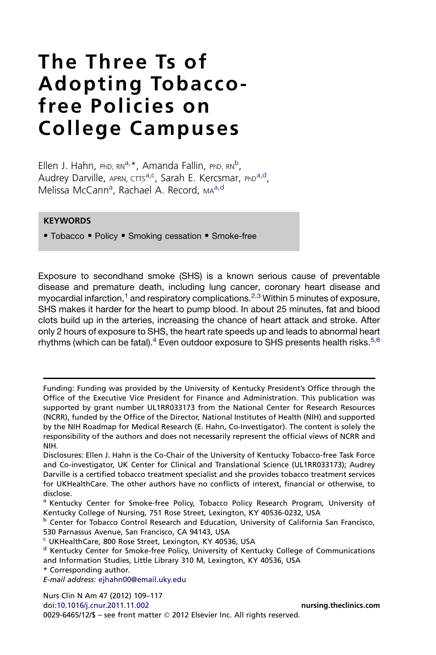# The Three Ts of Adop ting Tobacco free Policies on College Campuses

Ellen J. Hahn, Php, RN<sup>a,\*</sup>, Amanda Fallin, Php, RN<sup>b</sup>, Audrey Darville, APRN, CTTS<sup>a,c</sup>, Sarah E. Kercsmar, PhD<sup>a,d</sup>, Melissa McCann<sup>a</sup>, Rachael A. Record, Ma<sup>a,d</sup>

## **KEYWORDS**

• Tobacco • Policy • Smoking cessation • Smoke-free

Exposure to secondhand smoke (SHS) is a known serious cause of preventable disease and premature death, including lung cancer, coronary heart disease and myocardial infarction,<sup>[1](#page-7-0)</sup> and respiratory complications.<sup>[2,3](#page-7-0)</sup> Within 5 minutes of exposure, SHS makes it harder for the heart to pump blood. In about 25 minutes, fat and blood clots build up in the arteries, increasing the chance of heart attack and stroke. After only 2 hours of exposure to SHS, the heart rate speeds up and leads to abnormal heart rhythms (which can be fatal).<sup>[4](#page-7-0)</sup> Even outdoor exposure to SHS presents health risks.<sup>[5,6](#page-8-0)</sup>

\* Corresponding author.

Nurs Clin N Am 47 (2012) 109–117 doi[:10.1016/j.cnur.2011.11.002](http://dx.doi.org/10.1016/j.cnur.2011.11.002) [nursing.theclinics.com](http://nursing.theclinics.com) 0029-6465/12/\$ – see front matter 2012 Elsevier Inc. All rights reserved.

Funding: Funding was provided by the University of Kentucky President's Office through the Office of the Executive Vice President for Finance and Administration. This publication was supported by grant number UL1RR033173 from the National Center for Research Resources (NCRR), funded by the Office of the Director, National Institutes of Health (NIH) and supported by the NIH Roadmap for Medical Research (E. Hahn, Co-Investigator). The content is solely the responsibility of the authors and does not necessarily represent the official views of NCRR and NIH.

Disclosures: Ellen J. Hahn is the Co-Chair of the University of Kentucky Tobacco-free Task Force and Co-investigator, UK Center for Clinical and Translational Science (UL1RR033173); Audrey Darville is a certified tobacco treatment specialist and she provides tobacco treatment services for UKHealthCare. The other authors have no conflicts of interest, financial or otherwise, to disclose.

<sup>&</sup>lt;sup>a</sup> Kentucky Center for Smoke-free Policy, Tobacco Policy Research Program, University of Kentucky College of Nursing, 751 Rose Street, Lexington, KY 40536-0232, USA

<sup>&</sup>lt;sup>b</sup> Center for Tobacco Control Research and Education, University of California San Francisco, 530 Parnassus Avenue, San Francisco, CA 94143, USA

<sup>c</sup> UKHealthCare, 800 Rose Street, Lexington, KY 40536, USA

<sup>d</sup> Kentucky Center for Smoke-free Policy, University of Kentucky College of Communications and Information Studies, Little Library 310 M, Lexington, KY 40536, USA

E-mail address: [ejhahn00@email.uky.edu](mailto:ejhahn00@email.uky.edu)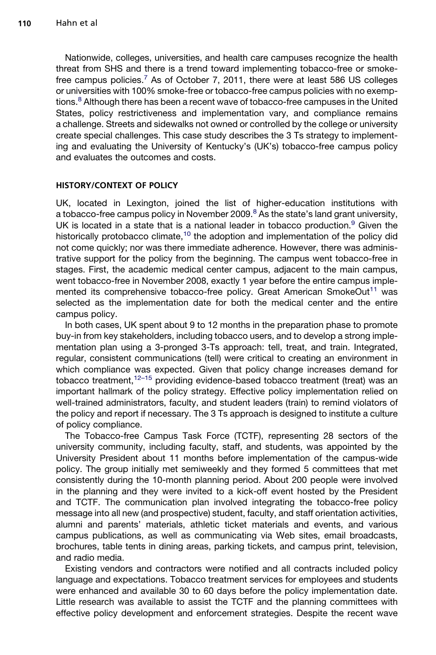Nationwide, colleges, universities, and health care campuses recognize the health threat from SHS and there is a trend toward implementing tobacco-free or smoke-free campus policies.<sup>[7](#page-8-0)</sup> As of October 7, 2011, there were at least 586 US colleges or universities with 100% smoke-free or tobacco-free campus policies with no exemptions.<sup>8</sup> Although there has been a recent wave of tobacco-free campuses in the United States, policy restrictiveness and implementation vary, and compliance remains a challenge. Streets and sidewalks not owned or controlled by the college or university create special challenges. This case study describes the 3 Ts strategy to implementing and evaluating the University of Kentucky's (UK's) tobacco-free campus policy and evaluates the outcomes and costs.

# HISTORY/CONTEXT OF POLICY

UK, located in Lexington, joined the list of higher-education institutions with a tobacco-free campus policy in November 2009. $8$  As the state's land grant university, UK is located in a state that is a national leader in tobacco production. $9$  Given the historically protobacco climate,<sup>[10](#page-8-0)</sup> the adoption and implementation of the policy did not come quickly; nor was there immediate adherence. However, there was administrative support for the policy from the beginning. The campus went tobacco-free in stages. First, the academic medical center campus, adjacent to the main campus, went tobacco-free in November 2008, exactly 1 year before the entire campus imple-mented its comprehensive tobacco-free policy. Great American SmokeOut<sup>[11](#page-8-0)</sup> was selected as the implementation date for both the medical center and the entire campus policy.

In both cases, UK spent about 9 to 12 months in the preparation phase to promote buy-in from key stakeholders, including tobacco users, and to develop a strong implementation plan using a 3-pronged 3-Ts approach: tell, treat, and train. Integrated, regular, consistent communications (tell) were critical to creating an environment in which compliance was expected. Given that policy change increases demand for tobacco treatment, $12-15$  providing evidence-based tobacco treatment (treat) was an important hallmark of the policy strategy. Effective policy implementation relied on well-trained administrators, faculty, and student leaders (train) to remind violators of the policy and report if necessary. The 3 Ts approach is designed to institute a culture of policy compliance.

The Tobacco-free Campus Task Force (TCTF), representing 28 sectors of the university community, including faculty, staff, and students, was appointed by the University President about 11 months before implementation of the campus-wide policy. The group initially met semiweekly and they formed 5 committees that met consistently during the 10-month planning period. About 200 people were involved in the planning and they were invited to a kick-off event hosted by the President and TCTF. The communication plan involved integrating the tobacco-free policy message into all new (and prospective) student, faculty, and staff orientation activities, alumni and parents' materials, athletic ticket materials and events, and various campus publications, as well as communicating via Web sites, email broadcasts, brochures, table tents in dining areas, parking tickets, and campus print, television, and radio media.

Existing vendors and contractors were notified and all contracts included policy language and expectations. Tobacco treatment services for employees and students were enhanced and available 30 to 60 days before the policy implementation date. Little research was available to assist the TCTF and the planning committees with effective policy development and enforcement strategies. Despite the recent wave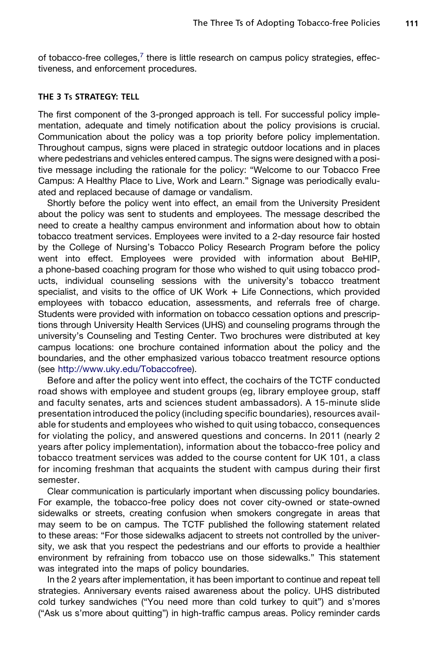of tobacco-free colleges, $<sup>7</sup>$  $<sup>7</sup>$  $<sup>7</sup>$  there is little research on campus policy strategies, effec-</sup> tiveness, and enforcement procedures.

#### THE 3 Ts STRATEGY: TELL

The first component of the 3-pronged approach is tell. For successful policy implementation, adequate and timely notification about the policy provisions is crucial. Communication about the policy was a top priority before policy implementation. Throughout campus, signs were placed in strategic outdoor locations and in places where pedestrians and vehicles entered campus. The signs were designed with a positive message including the rationale for the policy: "Welcome to our Tobacco Free Campus: A Healthy Place to Live, Work and Learn." Signage was periodically evaluated and replaced because of damage or vandalism.

Shortly before the policy went into effect, an email from the University President about the policy was sent to students and employees. The message described the need to create a healthy campus environment and information about how to obtain tobacco treatment services. Employees were invited to a 2-day resource fair hosted by the College of Nursing's Tobacco Policy Research Program before the policy went into effect. Employees were provided with information about BeHIP, a phone-based coaching program for those who wished to quit using tobacco products, individual counseling sessions with the university's tobacco treatment specialist, and visits to the office of UK Work  $+$  Life Connections, which provided employees with tobacco education, assessments, and referrals free of charge. Students were provided with information on tobacco cessation options and prescriptions through University Health Services (UHS) and counseling programs through the university's Counseling and Testing Center. Two brochures were distributed at key campus locations: one brochure contained information about the policy and the boundaries, and the other emphasized various tobacco treatment resource options (see <http://www.uky.edu/Tobaccofree>).

Before and after the policy went into effect, the cochairs of the TCTF conducted road shows with employee and student groups (eg, library employee group, staff and faculty senates, arts and sciences student ambassadors). A 15-minute slide presentation introduced the policy (including specific boundaries), resources available for students and employees who wished to quit using tobacco, consequences for violating the policy, and answered questions and concerns. In 2011 (nearly 2 years after policy implementation), information about the tobacco-free policy and tobacco treatment services was added to the course content for UK 101, a class for incoming freshman that acquaints the student with campus during their first semester.

Clear communication is particularly important when discussing policy boundaries. For example, the tobacco-free policy does not cover city-owned or state-owned sidewalks or streets, creating confusion when smokers congregate in areas that may seem to be on campus. The TCTF published the following statement related to these areas: "For those sidewalks adjacent to streets not controlled by the university, we ask that you respect the pedestrians and our efforts to provide a healthier environment by refraining from tobacco use on those sidewalks." This statement was integrated into the maps of policy boundaries.

In the 2 years after implementation, it has been important to continue and repeat tell strategies. Anniversary events raised awareness about the policy. UHS distributed cold turkey sandwiches ("You need more than cold turkey to quit") and s'mores ("Ask us s'more about quitting") in high-traffic campus areas. Policy reminder cards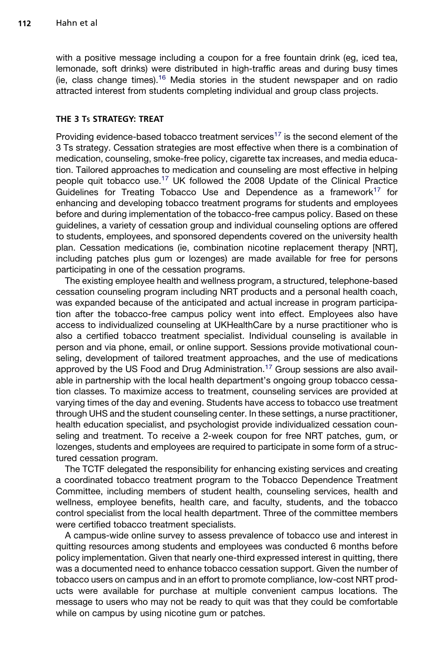with a positive message including a coupon for a free fountain drink (eg, iced tea, lemonade, soft drinks) were distributed in high-traffic areas and during busy times (ie, class change times).[16](#page-8-0) Media stories in the student newspaper and on radio attracted interest from students completing individual and group class projects.

## THE 3 Ts STRATEGY: TREAT

Providing evidence-based tobacco treatment services<sup>[17](#page-8-0)</sup> is the second element of the 3 Ts strategy. Cessation strategies are most effective when there is a combination of medication, counseling, smoke-free policy, cigarette tax increases, and media education. Tailored approaches to medication and counseling are most effective in helping people quit tobacco use.<sup>[17](#page-8-0)</sup> UK followed the 2008 Update of the Clinical Practice Guidelines for Treating Tobacco Use and Dependence as a framework<sup>[17](#page-8-0)</sup> for enhancing and developing tobacco treatment programs for students and employees before and during implementation of the tobacco-free campus policy. Based on these guidelines, a variety of cessation group and individual counseling options are offered to students, employees, and sponsored dependents covered on the university health plan. Cessation medications (ie, combination nicotine replacement therapy [NRT], including patches plus gum or lozenges) are made available for free for persons participating in one of the cessation programs.

The existing employee health and wellness program, a structured, telephone-based cessation counseling program including NRT products and a personal health coach, was expanded because of the anticipated and actual increase in program participation after the tobacco-free campus policy went into effect. Employees also have access to individualized counseling at UKHealthCare by a nurse practitioner who is also a certified tobacco treatment specialist. Individual counseling is available in person and via phone, email, or online support. Sessions provide motivational counseling, development of tailored treatment approaches, and the use of medications approved by the US Food and Drug Administration.<sup>[17](#page-8-0)</sup> Group sessions are also available in partnership with the local health department's ongoing group tobacco cessation classes. To maximize access to treatment, counseling services are provided at varying times of the day and evening. Students have access to tobacco use treatment through UHS and the student counseling center. In these settings, a nurse practitioner, health education specialist, and psychologist provide individualized cessation counseling and treatment. To receive a 2-week coupon for free NRT patches, gum, or lozenges, students and employees are required to participate in some form of a structured cessation program.

The TCTF delegated the responsibility for enhancing existing services and creating a coordinated tobacco treatment program to the Tobacco Dependence Treatment Committee, including members of student health, counseling services, health and wellness, employee benefits, health care, and faculty, students, and the tobacco control specialist from the local health department. Three of the committee members were certified tobacco treatment specialists.

A campus-wide online survey to assess prevalence of tobacco use and interest in quitting resources among students and employees was conducted 6 months before policy implementation. Given that nearly one-third expressed interest in quitting, there was a documented need to enhance tobacco cessation support. Given the number of tobacco users on campus and in an effort to promote compliance, low-cost NRT products were available for purchase at multiple convenient campus locations. The message to users who may not be ready to quit was that they could be comfortable while on campus by using nicotine gum or patches.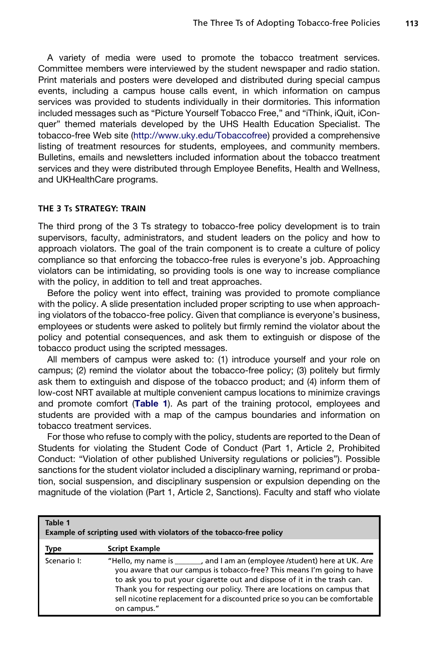A variety of media were used to promote the tobacco treatment services. Committee members were interviewed by the student newspaper and radio station. Print materials and posters were developed and distributed during special campus events, including a campus house calls event, in which information on campus services was provided to students individually in their dormitories. This information included messages such as "Picture Yourself Tobacco Free," and "iThink, iQuit, iConquer" themed materials developed by the UHS Health Education Specialist. The tobacco-free Web site [\(http://www.uky.edu/Tobaccofree\)](http://www.uky.edu/Tobaccofree) provided a comprehensive listing of treatment resources for students, employees, and community members. Bulletins, emails and newsletters included information about the tobacco treatment services and they were distributed through Employee Benefits, Health and Wellness, and UKHealthCare programs.

#### THE 3 Ts STRATEGY: TRAIN

The third prong of the 3 Ts strategy to tobacco-free policy development is to train supervisors, faculty, administrators, and student leaders on the policy and how to approach violators. The goal of the train component is to create a culture of policy compliance so that enforcing the tobacco-free rules is everyone's job. Approaching violators can be intimidating, so providing tools is one way to increase compliance with the policy, in addition to tell and treat approaches.

Before the policy went into effect, training was provided to promote compliance with the policy. A slide presentation included proper scripting to use when approaching violators of the tobacco-free policy. Given that compliance is everyone's business, employees or students were asked to politely but firmly remind the violator about the policy and potential consequences, and ask them to extinguish or dispose of the tobacco product using the scripted messages.

All members of campus were asked to: (1) introduce yourself and your role on campus; (2) remind the violator about the tobacco-free policy; (3) politely but firmly ask them to extinguish and dispose of the tobacco product; and (4) inform them of low-cost NRT available at multiple convenient campus locations to minimize cravings and promote comfort (Table 1). As part of the training protocol, employees and students are provided with a map of the campus boundaries and information on tobacco treatment services.

For those who refuse to comply with the policy, students are reported to the Dean of Students for violating the Student Code of Conduct (Part 1, Article 2, Prohibited Conduct: "Violation of other published University regulations or policies"). Possible sanctions for the student violator included a disciplinary warning, reprimand or probation, social suspension, and disciplinary suspension or expulsion depending on the magnitude of the violation (Part 1, Article 2, Sanctions). Faculty and staff who violate

| Table 1<br>Example of scripting used with violators of the tobacco-free policy |                                                                                                                                                                                                                                                                                                                                                                                                            |  |  |  |  |  |  |  |
|--------------------------------------------------------------------------------|------------------------------------------------------------------------------------------------------------------------------------------------------------------------------------------------------------------------------------------------------------------------------------------------------------------------------------------------------------------------------------------------------------|--|--|--|--|--|--|--|
| Type                                                                           | <b>Script Example</b>                                                                                                                                                                                                                                                                                                                                                                                      |  |  |  |  |  |  |  |
| Scenario I:                                                                    | "Hello, my name is _______, and I am an (employee /student) here at UK. Are<br>you aware that our campus is tobacco-free? This means I'm going to have<br>to ask you to put your cigarette out and dispose of it in the trash can.<br>Thank you for respecting our policy. There are locations on campus that<br>sell nicotine replacement for a discounted price so you can be comfortable<br>on campus." |  |  |  |  |  |  |  |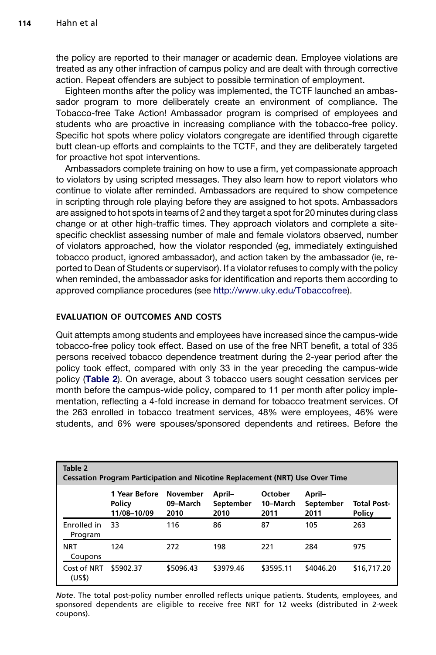the policy are reported to their manager or academic dean. Employee violations are treated as any other infraction of campus policy and are dealt with through corrective action. Repeat offenders are subject to possible termination of employment.

Eighteen months after the policy was implemented, the TCTF launched an ambassador program to more deliberately create an environment of compliance. The Tobacco-free Take Action! Ambassador program is comprised of employees and students who are proactive in increasing compliance with the tobacco-free policy. Specific hot spots where policy violators congregate are identified through cigarette butt clean-up efforts and complaints to the TCTF, and they are deliberately targeted for proactive hot spot interventions.

Ambassadors complete training on how to use a firm, yet compassionate approach to violators by using scripted messages. They also learn how to report violators who continue to violate after reminded. Ambassadors are required to show competence in scripting through role playing before they are assigned to hot spots. Ambassadors are assigned to hot spots in teams of 2 and they target a spot for 20 minutes during class change or at other high-traffic times. They approach violators and complete a sitespecific checklist assessing number of male and female violators observed, number of violators approached, how the violator responded (eg, immediately extinguished tobacco product, ignored ambassador), and action taken by the ambassador (ie, reported to Dean of Students or supervisor). If a violator refuses to comply with the policy when reminded, the ambassador asks for identification and reports them according to approved compliance procedures (see <http://www.uky.edu/Tobaccofree>).

## EVALUATION OF OUTCOMES AND COSTS

Quit attempts among students and employees have increased since the campus-wide tobacco-free policy took effect. Based on use of the free NRT benefit, a total of 335 persons received tobacco dependence treatment during the 2-year period after the policy took effect, compared with only 33 in the year preceding the campus-wide policy (Table 2). On average, about 3 tobacco users sought cessation services per month before the campus-wide policy, compared to 11 per month after policy implementation, reflecting a 4-fold increase in demand for tobacco treatment services. Of the 263 enrolled in tobacco treatment services, 48% were employees, 46% were students, and 6% were spouses/sponsored dependents and retirees. Before the

| Table 2<br>Cessation Program Participation and Nicotine Replacement (NRT) Use Over Time |                                        |                              |                             |                             |                             |                              |  |  |  |  |
|-----------------------------------------------------------------------------------------|----------------------------------------|------------------------------|-----------------------------|-----------------------------|-----------------------------|------------------------------|--|--|--|--|
|                                                                                         | 1 Year Before<br>Policy<br>11/08-10/09 | November<br>09-March<br>2010 | April-<br>September<br>2010 | October<br>10-March<br>2011 | April-<br>September<br>2011 | <b>Total Post-</b><br>Policy |  |  |  |  |
| Enrolled in<br>Program                                                                  | - 33                                   | 116                          | 86                          | 87                          | 105                         | 263                          |  |  |  |  |
| <b>NRT</b><br>Coupons                                                                   | 124                                    | 272                          | 198                         | 221                         | 284                         | 975                          |  |  |  |  |
| Cost of NRT<br>(US <sub>5</sub> )                                                       | \$5902.37                              | \$5096.43                    | \$3979.46                   | \$3595.11                   | \$4046.20                   | \$16,717.20                  |  |  |  |  |

Note. The total post-policy number enrolled reflects unique patients. Students, employees, and sponsored dependents are eligible to receive free NRT for 12 weeks (distributed in 2-week coupons).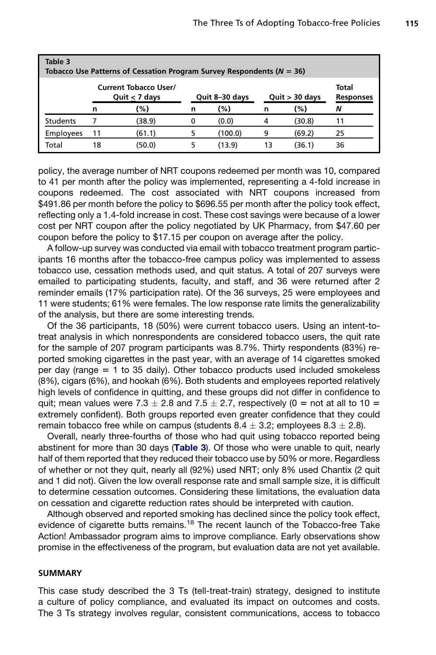| Table 3<br>Tobacco Use Patterns of Cessation Program Survey Respondents ( $N = 36$ ) |                                                 |        |                |         |                  |        |                           |  |  |  |  |
|--------------------------------------------------------------------------------------|-------------------------------------------------|--------|----------------|---------|------------------|--------|---------------------------|--|--|--|--|
|                                                                                      | <b>Current Tobacco User/</b><br>Quit $<$ 7 days |        | Quit 8-30 days |         | Quit $> 30$ days |        | Total<br><b>Responses</b> |  |  |  |  |
|                                                                                      | n                                               | (%)    | n              | (%)     | n                | (%)    | N                         |  |  |  |  |
| <b>Students</b>                                                                      |                                                 | (38.9) | 0              | (0.0)   | 4                | (30.8) | 11                        |  |  |  |  |
| <b>Employees</b>                                                                     | 11                                              | (61.1) |                | (100.0) | 9                | (69.2) | 25                        |  |  |  |  |
| Total                                                                                | 18                                              | (50.0) | 5              | (13.9)  | 13               | (36.1) | 36                        |  |  |  |  |

policy, the average number of NRT coupons redeemed per month was 10, compared to 41 per month after the policy was implemented, representing a 4-fold increase in coupons redeemed. The cost associated with NRT coupons increased from \$491.86 per month before the policy to \$696.55 per month after the policy took effect, reflecting only a 1.4-fold increase in cost. These cost savings were because of a lower cost per NRT coupon after the policy negotiated by UK Pharmacy, from \$47.60 per coupon before the policy to \$17.15 per coupon on average after the policy.

A follow-up survey was conducted via email with tobacco treatment program participants 16 months after the tobacco-free campus policy was implemented to assess tobacco use, cessation methods used, and quit status. A total of 207 surveys were emailed to participating students, faculty, and staff, and 36 were returned after 2 reminder emails (17% participation rate). Of the 36 surveys, 25 were employees and 11 were students; 61% were females. The low response rate limits the generalizability of the analysis, but there are some interesting trends.

Of the 36 participants, 18 (50%) were current tobacco users. Using an intent-totreat analysis in which nonrespondents are considered tobacco users, the quit rate for the sample of 207 program participants was 8.7%. Thirty respondents (83%) reported smoking cigarettes in the past year, with an average of 14 cigarettes smoked per day (range  $= 1$  to 35 daily). Other tobacco products used included smokeless (8%), cigars (6%), and hookah (6%). Both students and employees reported relatively high levels of confidence in quitting, and these groups did not differ in confidence to quit; mean values were 7.3  $\pm$  2.8 and 7.5  $\pm$  2.7, respectively (0 = not at all to 10 = extremely confident). Both groups reported even greater confidence that they could remain tobacco free while on campus (students  $8.4 \pm 3.2$ ; employees  $8.3 \pm 2.8$ ).

Overall, nearly three-fourths of those who had quit using tobacco reported being abstinent for more than 30 days (Table 3). Of those who were unable to quit, nearly half of them reported that they reduced their tobacco use by 50% or more. Regardless of whether or not they quit, nearly all (92%) used NRT; only 8% used Chantix (2 quit and 1 did not). Given the low overall response rate and small sample size, it is difficult to determine cessation outcomes. Considering these limitations, the evaluation data on cessation and cigarette reduction rates should be interpreted with caution.

Although observed and reported smoking has declined since the policy took effect, evidence of cigarette butts remains.<sup>[18](#page-8-0)</sup> The recent launch of the Tobacco-free Take Action! Ambassador program aims to improve compliance. Early observations show promise in the effectiveness of the program, but evaluation data are not yet available.

#### SUMMARY

This case study described the 3 Ts (tell-treat-train) strategy, designed to institute a culture of policy compliance, and evaluated its impact on outcomes and costs. The 3 Ts strategy involves regular, consistent communications, access to tobacco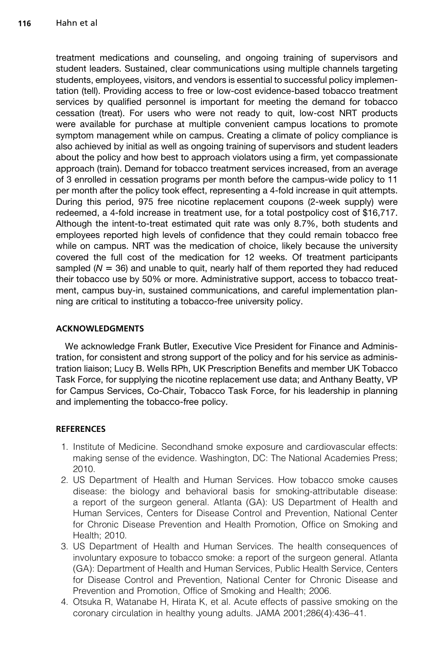<span id="page-7-0"></span>treatment medications and counseling, and ongoing training of supervisors and student leaders. Sustained, clear communications using multiple channels targeting students, employees, visitors, and vendors is essential to successful policy implementation (tell). Providing access to free or low-cost evidence-based tobacco treatment services by qualified personnel is important for meeting the demand for tobacco cessation (treat). For users who were not ready to quit, low-cost NRT products were available for purchase at multiple convenient campus locations to promote symptom management while on campus. Creating a climate of policy compliance is also achieved by initial as well as ongoing training of supervisors and student leaders about the policy and how best to approach violators using a firm, yet compassionate approach (train). Demand for tobacco treatment services increased, from an average of 3 enrolled in cessation programs per month before the campus-wide policy to 11 per month after the policy took effect, representing a 4-fold increase in quit attempts. During this period, 975 free nicotine replacement coupons (2-week supply) were redeemed, a 4-fold increase in treatment use, for a total postpolicy cost of \$16,717. Although the intent-to-treat estimated quit rate was only 8.7%, both students and employees reported high levels of confidence that they could remain tobacco free while on campus. NRT was the medication of choice, likely because the university covered the full cost of the medication for 12 weeks. Of treatment participants sampled  $(N = 36)$  and unable to quit, nearly half of them reported they had reduced their tobacco use by 50% or more. Administrative support, access to tobacco treatment, campus buy-in, sustained communications, and careful implementation planning are critical to instituting a tobacco-free university policy.

# ACKNOWLEDGMENTS

We acknowledge Frank Butler, Executive Vice President for Finance and Administration, for consistent and strong support of the policy and for his service as administration liaison; Lucy B. Wells RPh, UK Prescription Benefits and member UK Tobacco Task Force, for supplying the nicotine replacement use data; and Anthany Beatty, VP for Campus Services, Co-Chair, Tobacco Task Force, for his leadership in planning and implementing the tobacco-free policy.

# **REFERENCES**

- 1. Institute of Medicine. Secondhand smoke exposure and cardiovascular effects: making sense of the evidence. Washington, DC: The National Academies Press; 2010.
- 2. US Department of Health and Human Services. How tobacco smoke causes disease: the biology and behavioral basis for smoking-attributable disease: a report of the surgeon general. Atlanta (GA): US Department of Health and Human Services, Centers for Disease Control and Prevention, National Center for Chronic Disease Prevention and Health Promotion, Office on Smoking and Health; 2010.
- 3. US Department of Health and Human Services. The health consequences of involuntary exposure to tobacco smoke: a report of the surgeon general. Atlanta (GA): Department of Health and Human Services, Public Health Service, Centers for Disease Control and Prevention, National Center for Chronic Disease and Prevention and Promotion, Office of Smoking and Health; 2006.
- 4. Otsuka R, Watanabe H, Hirata K, et al. Acute effects of passive smoking on the coronary circulation in healthy young adults. JAMA 2001;286(4):436–41.